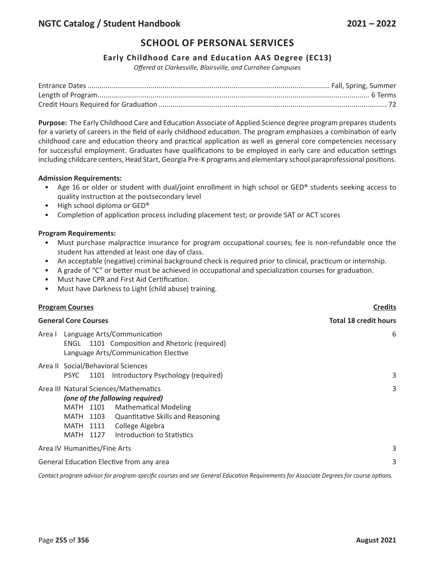## **Early Childhood Care and Education AAS Degree (EC13)**

*Offered at Clarkesville, Blairsville, and Currahee Campuses*

**Purpose:** The Early Childhood Care and Education Associate of Applied Science degree program prepares students for a variety of careers in the field of early childhood education. The program emphasizes a combination of early childhood care and education theory and practical application as well as general core competencies necessary for successful employment. Graduates have qualifications to be employed in early care and education settings including childcare centers, Head Start, Georgia Pre-K programs and elementary school paraprofessional positions.

### **Admission Requirements:**

- Age 16 or older or student with dual/joint enrollment in high school or GED® students seeking access to quality instruction at the postsecondary level
- High school diploma or GED®
- Completion of application process including placement test; or provide SAT or ACT scores

#### **Program Requirements:**

- Must purchase malpractice insurance for program occupational courses; fee is non-refundable once the student has attended at least one day of class.
- An acceptable (negative) criminal background check is required prior to clinical, practicum or internship.
- A grade of "C" or better must be achieved in occupational and specialization courses for graduation.
- Must have CPR and First Aid Certification.
- Must have Darkness to Light (child abuse) training.

| <b>Program Courses</b>                                                                                                                                                                                                                                    | <b>Credits</b>               |  |
|-----------------------------------------------------------------------------------------------------------------------------------------------------------------------------------------------------------------------------------------------------------|------------------------------|--|
| <b>General Core Courses</b>                                                                                                                                                                                                                               | <b>Total 18 credit hours</b> |  |
| Language Arts/Communication<br>Area I<br>ENGL 1101 Composition and Rhetoric (required)<br>Language Arts/Communication Elective                                                                                                                            | 6                            |  |
| Area II Social/Behavioral Sciences<br>PSYC 1101 Introductory Psychology (required)                                                                                                                                                                        | 3                            |  |
| Area III Natural Sciences/Mathematics<br>(one of the following required)<br><b>Mathematical Modeling</b><br>MATH 1101<br><b>Quantitative Skills and Reasoning</b><br>MATH 1103<br>MATH 1111<br>College Algebra<br>Introduction to Statistics<br>MATH 1127 | 3                            |  |
| Area IV Humanities/Fine Arts                                                                                                                                                                                                                              | 3                            |  |
| General Education Elective from any area                                                                                                                                                                                                                  | 3                            |  |

Contact program advisor for program-specific courses and see General Education Requirements for Associate Degrees for course options.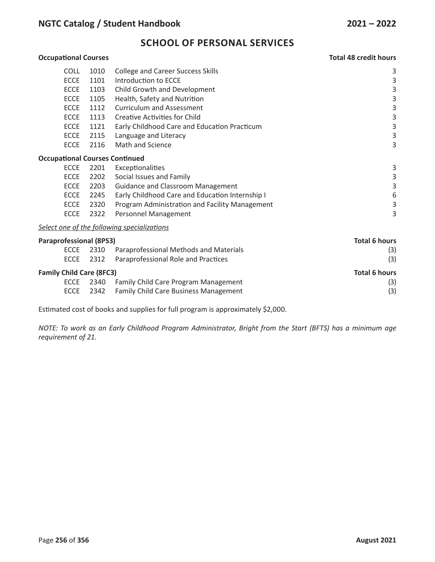## **Occupational Courses Total 48 credit hours** COLL 1010 College and Career Success Skills 3 ECCE 1101 Introduction to ECCE 3 ECCE 1103 Child Growth and Development 3 ECCE 1105 Health, Safety and Nutrition 3 ECCE 1112 Curriculum and Assessment 3 ECCE 1113 Creative Activities for Child 3 3 ECCE 1121 Early Childhood Care and Education Practicum 3 ECCE 2115 Language and Literacy 3 ECCE 2116 Math and Science 3 3 **Occupational Courses Continued** ECCE 2201 Exceptionalities 3 ECCE 2202 Social Issues and Family 3 ECCE 2203 Guidance and Classroom Management 3 ECCE 2245 Early Childhood Care and Education Internship I 6 ECCE 2320 Program Administration and Facility Management 3 ECCE 2322 Personnel Management 3 *Select one of the following specializations* **Paraprofessional (8PS3) Total 6 hours** ECCE 2310 Paraprofessional Methods and Materials (3) ECCE 2312 Paraprofessional Role and Practices (3) **Family Child Care (8FC3) Total 6 hours** ECCE 2340 Family Child Care Program Management (3) ECCE 2342 Family Child Care Business Management (3)

Estimated cost of books and supplies for full program is approximately \$2,000.

NOTE: To work as an Early Childhood Program Administrator, Bright from the Start (BFTS) has a minimum age *requirement of 21.*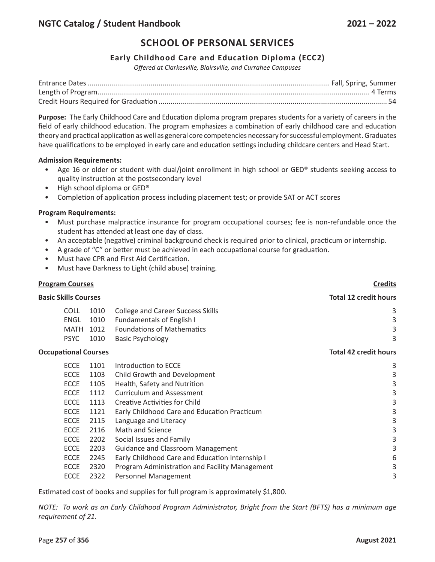## **Early Childhood Care and Education Diploma (ECC2)**

*Offered at Clarkesville, Blairsville, and Currahee Campuses*

**Purpose:** The Early Childhood Care and Education diploma program prepares students for a variety of careers in the field of early childhood education. The program emphasizes a combination of early childhood care and education theory and practical application as well as general core competencies necessary for successful employment. Graduates have qualifications to be employed in early care and education settings including childcare centers and Head Start.

#### **Admission Requirements:**

- Age 16 or older or student with dual/joint enrollment in high school or GED® students seeking access to quality instruction at the postsecondary level
- High school diploma or GED®
- Completion of application process including placement test; or provide SAT or ACT scores

### **Program Requirements:**

- Must purchase malpractice insurance for program occupational courses; fee is non-refundable once the student has attended at least one day of class.
- An acceptable (negative) criminal background check is required prior to clinical, practicum or internship.
- A grade of "C" or better must be achieved in each occupational course for graduation.
- Must have CPR and First Aid Certification.
- Must have Darkness to Light (child abuse) training.

#### **Program Courses Credits**

| <b>Basic Skills Courses</b> |             |      | <b>Total 12 credit hours</b>                 |                              |
|-----------------------------|-------------|------|----------------------------------------------|------------------------------|
|                             | COLL        | 1010 | <b>College and Career Success Skills</b>     | 3                            |
|                             | ENGL        | 1010 | <b>Fundamentals of English I</b>             | 3                            |
|                             | <b>MATH</b> | 1012 | <b>Foundations of Mathematics</b>            | 3                            |
|                             | <b>PSYC</b> | 1010 | <b>Basic Psychology</b>                      | 3                            |
| <b>Occupational Courses</b> |             |      |                                              | <b>Total 42 credit hours</b> |
|                             | <b>ECCE</b> | 1101 | Introduction to ECCE                         | 3                            |
|                             | <b>ECCE</b> | 1103 | Child Growth and Development                 | 3                            |
|                             | <b>ECCE</b> | 1105 | Health, Safety and Nutrition                 | 3                            |
|                             | <b>ECCE</b> | 1112 | <b>Curriculum and Assessment</b>             | 3                            |
|                             | <b>ECCE</b> | 1113 | Creative Activities for Child                | 3                            |
|                             | <b>ECCE</b> | 1121 | Early Childhood Care and Education Practicum | 3                            |
|                             | <b>ECCE</b> | 2115 | Language and Literacy                        | 3                            |
|                             | <b>ECCE</b> | 2116 | Math and Science                             | 3                            |
|                             | <b>ECCE</b> | 2202 | Social Issues and Family                     | 3                            |

- ECCE 2203 Guidance and Classroom Management 33 ECCE 2245 Early Childhood Care and Education Internship I 6 ECCE 2320 Program Administration and Facility Management 3
	- ECCE 2322 Personnel Management 3 3

Estimated cost of books and supplies for full program is approximately \$1,800.

*NOTE: To work as an Early Childhood Program Administrator, Bright from the Start (BFTS) has a minimum age requirement of 21.*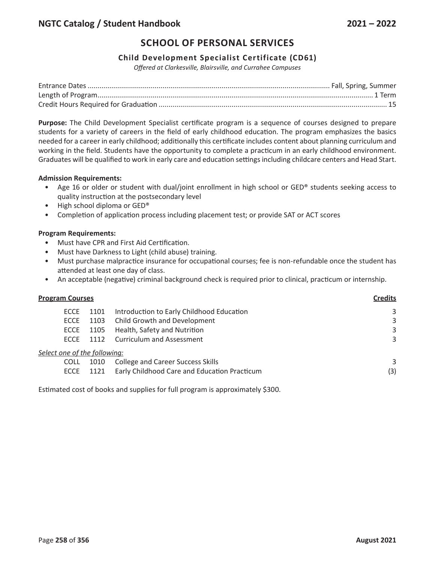## **Child Development Specialist Certificate (CD61)**

*Offered at Clarkesville, Blairsville, and Currahee Campuses*

**Purpose:** The Child Development Specialist certificate program is a sequence of courses designed to prepare students for a variety of careers in the field of early childhood education. The program emphasizes the basics needed for a career in early childhood; additionally this certificate includes content about planning curriculum and working in the field. Students have the opportunity to complete a practicum in an early childhood environment. Graduates will be qualified to work in early care and education settings including childcare centers and Head Start.

#### **Admission Requirements:**

- Age 16 or older or student with dual/joint enrollment in high school or GED® students seeking access to quality instruction at the postsecondary level
- High school diploma or GED®
- Completion of application process including placement test; or provide SAT or ACT scores

#### **Program Requirements:**

- Must have CPR and First Aid Certification.
- Must have Darkness to Light (child abuse) training.
- Must purchase malpractice insurance for occupational courses; fee is non-refundable once the student has attended at least one day of class.
- An acceptable (negative) criminal background check is required prior to clinical, practicum or internship.

| <b>Program Courses</b> |                              |      | <b>Credits</b>                               |     |
|------------------------|------------------------------|------|----------------------------------------------|-----|
|                        | ECCE                         | 1101 | Introduction to Early Childhood Education    | 3   |
|                        | ECCE                         | 1103 | Child Growth and Development                 | 3   |
|                        | ECCE                         | 1105 | Health, Safety and Nutrition                 | 3   |
|                        | <b>FCCF</b>                  |      | 1112 Curriculum and Assessment               | 3   |
|                        | Select one of the following: |      |                                              |     |
|                        | <b>COLL</b>                  | 1010 | <b>College and Career Success Skills</b>     | 3   |
|                        | <b>ECCE</b>                  | 1121 | Early Childhood Care and Education Practicum | (3) |
|                        |                              |      |                                              |     |

Estimated cost of books and supplies for full program is approximately \$300.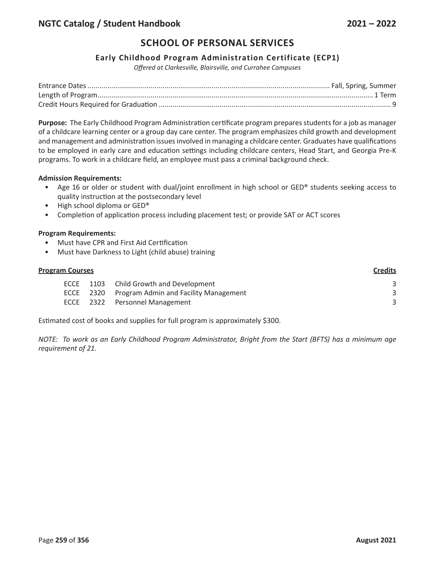## **Early Childhood Program Administration Certificate (ECP1)**

*Offered at Clarkesville, Blairsville, and Currahee Campuses*

**Purpose:** The Early Childhood Program Administration certificate program prepares students for a job as manager of a childcare learning center or a group day care center. The program emphasizes child growth and development and management and administration issues involved in managing a childcare center. Graduates have qualifications to be employed in early care and education settings including childcare centers, Head Start, and Georgia Pre-K programs. To work in a childcare field, an employee must pass a criminal background check.

#### **Admission Requirements:**

- Age 16 or older or student with dual/joint enrollment in high school or GED® students seeking access to quality instruction at the postsecondary level
- High school diploma or GED®
- Completion of application process including placement test; or provide SAT or ACT scores

#### **Program Requirements:**

- Must have CPR and First Aid Certification
- Must have Darkness to Light (child abuse) training

## **Program Courses Credits**

| ECCE | 1103 Child Growth and Development               |  |
|------|-------------------------------------------------|--|
|      | ECCE 2320 Program Admin and Facility Management |  |
|      | ECCE 2322 Personnel Management                  |  |

Estimated cost of books and supplies for full program is approximately \$300.

*NOTE: To work as an Early Childhood Program Administrator, Bright from the Start (BFTS) has a minimum age requirement of 21.*